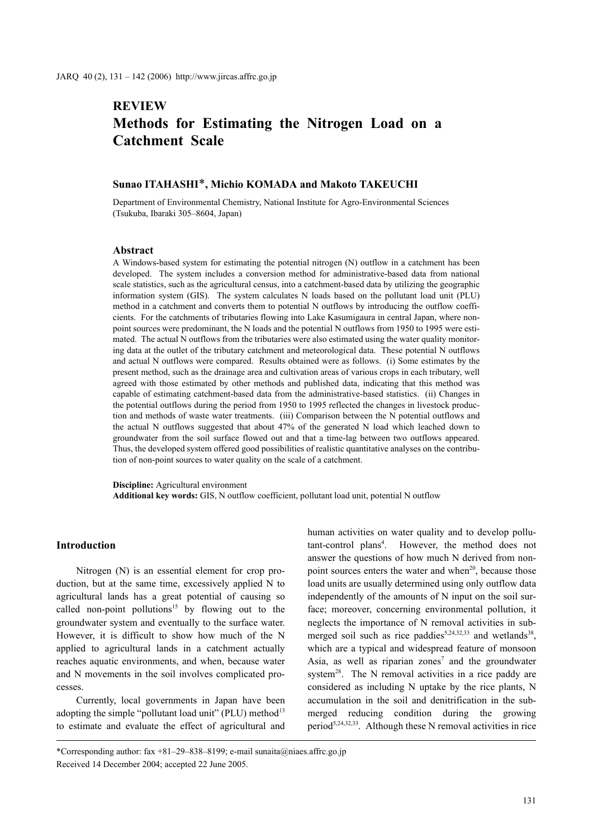# **REVIEW Methods for Estimating the Nitrogen Load on a Catchment Scale**

# **Sunao ITAHASHI**\***, Michio KOMADA and Makoto TAKEUCHI**

Department of Environmental Chemistry, National Institute for Agro-Environmental Sciences (Tsukuba, Ibaraki 305–8604, Japan)

#### **Abstract**

A Windows-based system for estimating the potential nitrogen (N) outflow in a catchment has been developed. The system includes a conversion method for administrative-based data from national scale statistics, such as the agricultural census, into a catchment-based data by utilizing the geographic information system (GIS). The system calculates N loads based on the pollutant load unit (PLU) method in a catchment and converts them to potential N outflows by introducing the outflow coefficients. For the catchments of tributaries flowing into Lake Kasumigaura in central Japan, where nonpoint sources were predominant, the N loads and the potential N outflows from 1950 to 1995 were estimated. The actual N outflows from the tributaries were also estimated using the water quality monitoring data at the outlet of the tributary catchment and meteorological data. These potential N outflows and actual N outflows were compared. Results obtained were as follows. (i) Some estimates by the present method, such as the drainage area and cultivation areas of various crops in each tributary, well agreed with those estimated by other methods and published data, indicating that this method was capable of estimating catchment-based data from the administrative-based statistics. (ii) Changes in the potential outflows during the period from 1950 to 1995 reflected the changes in livestock production and methods of waste water treatments. (iii) Comparison between the N potential outflows and the actual N outflows suggested that about 47% of the generated N load which leached down to groundwater from the soil surface flowed out and that a time-lag between two outflows appeared. Thus, the developed system offered good possibilities of realistic quantitative analyses on the contribution of non-point sources to water quality on the scale of a catchment.

**Discipline:** Agricultural environment **Additional key words:** GIS, N outflow coefficient, pollutant load unit, potential N outflow

## **Introduction**

Nitrogen (N) is an essential element for crop production, but at the same time, excessively applied N to agricultural lands has a great potential of causing so called non-point pollutions<sup>15</sup> by flowing out to the groundwater system and eventually to the surface water. However, it is difficult to show how much of the N applied to agricultural lands in a catchment actually reaches aquatic environments, and when, because water and N movements in the soil involves complicated processes.

Currently, local governments in Japan have been adopting the simple "pollutant load unit" (PLU) method $13$ to estimate and evaluate the effect of agricultural and human activities on water quality and to develop pollutant-control plans<sup>4</sup>. However, the method does not answer the questions of how much N derived from nonpoint sources enters the water and when $2<sup>0</sup>$ , because those load units are usually determined using only outflow data independently of the amounts of N input on the soil surface; moreover, concerning environmental pollution, it neglects the importance of N removal activities in submerged soil such as rice paddies<sup>5,24,32,33</sup> and wetlands<sup>38</sup>, which are a typical and widespread feature of monsoon Asia, as well as riparian zones<sup>7</sup> and the groundwater system<sup>28</sup>. The N removal activities in a rice paddy are considered as including N uptake by the rice plants, N accumulation in the soil and denitrification in the submerged reducing condition during the growing period<sup>5,24,32,33</sup>. Although these N removal activities in rice

<sup>\*</sup>Corresponding author: fax +81–29–838–8199; e-mail sunaita@niaes.affrc.go.jp Received 14 December 2004; accepted 22 June 2005.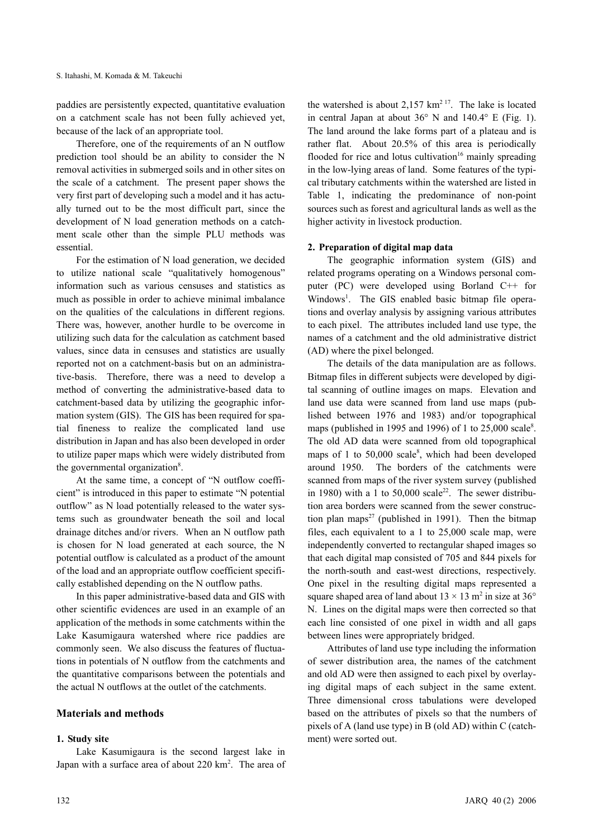paddies are persistently expected, quantitative evaluation on a catchment scale has not been fully achieved yet, because of the lack of an appropriate tool.

Therefore, one of the requirements of an N outflow prediction tool should be an ability to consider the N removal activities in submerged soils and in other sites on the scale of a catchment. The present paper shows the very first part of developing such a model and it has actually turned out to be the most difficult part, since the development of N load generation methods on a catchment scale other than the simple PLU methods was essential.

For the estimation of N load generation, we decided to utilize national scale "qualitatively homogenous" information such as various censuses and statistics as much as possible in order to achieve minimal imbalance on the qualities of the calculations in different regions. There was, however, another hurdle to be overcome in utilizing such data for the calculation as catchment based values, since data in censuses and statistics are usually reported not on a catchment-basis but on an administrative-basis. Therefore, there was a need to develop a method of converting the administrative-based data to catchment-based data by utilizing the geographic information system (GIS). The GIS has been required for spatial fineness to realize the complicated land use distribution in Japan and has also been developed in order to utilize paper maps which were widely distributed from the governmental organization<sup>8</sup>.

At the same time, a concept of "N outflow coefficient" is introduced in this paper to estimate "N potential outflow" as N load potentially released to the water systems such as groundwater beneath the soil and local drainage ditches and/or rivers. When an N outflow path is chosen for N load generated at each source, the N potential outflow is calculated as a product of the amount of the load and an appropriate outflow coefficient specifically established depending on the N outflow paths.

In this paper administrative-based data and GIS with other scientific evidences are used in an example of an application of the methods in some catchments within the Lake Kasumigaura watershed where rice paddies are commonly seen. We also discuss the features of fluctuations in potentials of N outflow from the catchments and the quantitative comparisons between the potentials and the actual N outflows at the outlet of the catchments.

## **Materials and methods**

#### **1. Study site**

Lake Kasumigaura is the second largest lake in Japan with a surface area of about 220 km<sup>2</sup>. The area of

the watershed is about  $2.157 \text{ km}^{217}$ . The lake is located in central Japan at about  $36^{\circ}$  N and  $140.4^{\circ}$  E (Fig. 1). The land around the lake forms part of a plateau and is rather flat. About 20.5% of this area is periodically flooded for rice and lotus cultivation<sup>16</sup> mainly spreading in the low-lying areas of land. Some features of the typical tributary catchments within the watershed are listed in Table 1, indicating the predominance of non-point sources such as forest and agricultural lands as well as the higher activity in livestock production.

#### **2. Preparation of digital map data**

The geographic information system (GIS) and related programs operating on a Windows personal computer (PC) were developed using Borland C++ for Windows<sup>1</sup>. The GIS enabled basic bitmap file operations and overlay analysis by assigning various attributes to each pixel. The attributes included land use type, the names of a catchment and the old administrative district (AD) where the pixel belonged.

The details of the data manipulation are as follows. Bitmap files in different subjects were developed by digital scanning of outline images on maps. Elevation and land use data were scanned from land use maps (published between 1976 and 1983) and/or topographical maps (published in 1995 and 1996) of 1 to  $25,000$  scale<sup>8</sup>. The old AD data were scanned from old topographical maps of 1 to 50,000 scale<sup>8</sup>, which had been developed around 1950. The borders of the catchments were scanned from maps of the river system survey (published in 1980) with a 1 to  $50,000$  scale<sup>22</sup>. The sewer distribution area borders were scanned from the sewer construction plan maps<sup>27</sup> (published in 1991). Then the bitmap files, each equivalent to a 1 to 25,000 scale map, were independently converted to rectangular shaped images so that each digital map consisted of 705 and 844 pixels for the north-south and east-west directions, respectively. One pixel in the resulting digital maps represented a square shaped area of land about  $13 \times 13$  m<sup>2</sup> in size at  $36^{\circ}$ N. Lines on the digital maps were then corrected so that each line consisted of one pixel in width and all gaps between lines were appropriately bridged.

Attributes of land use type including the information of sewer distribution area, the names of the catchment and old AD were then assigned to each pixel by overlaying digital maps of each subject in the same extent. Three dimensional cross tabulations were developed based on the attributes of pixels so that the numbers of pixels of A (land use type) in B (old AD) within C (catchment) were sorted out.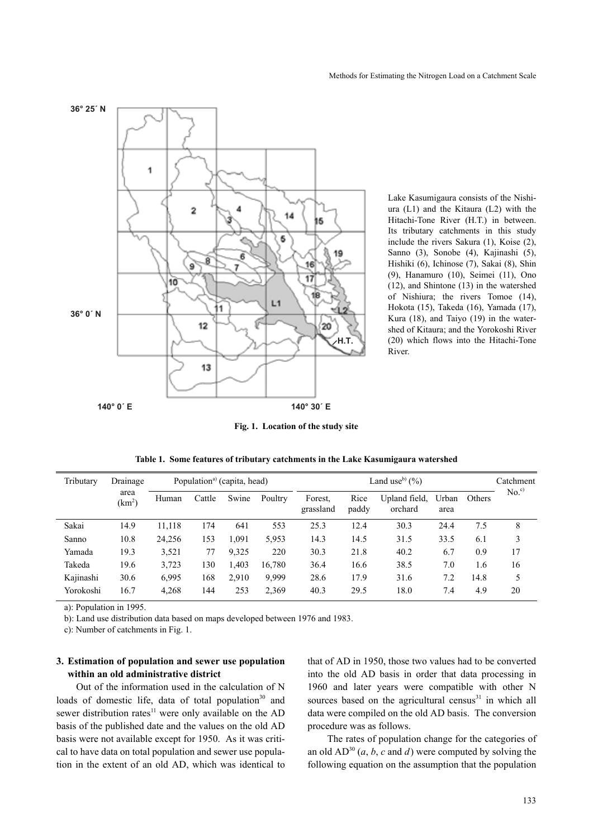

Lake Kasumigaura consists of the Nishiura (L1) and the Kitaura (L2) with the Hitachi-Tone River (H.T.) in between. Its tributary catchments in this study include the rivers Sakura (1), Koise (2), Sanno (3), Sonobe (4), Kajinashi (5), Hishiki (6), Ichinose (7), Sakai (8), Shin (9), Hanamuro (10), Seimei (11), Ono (12), and Shintone (13) in the watershed of Nishiura; the rivers Tomoe (14), Hokota (15), Takeda (16), Yamada (17), Kura (18), and Taiyo (19) in the watershed of Kitaura; and the Yorokoshi River (20) which flows into the Hitachi-Tone River.

**Fig. 1. Location of the study site**

|  |  |  | Table 1. Some features of tributary catchments in the Lake Kasumigaura watershed |  |
|--|--|--|----------------------------------------------------------------------------------|--|
|  |  |  |                                                                                  |  |

| Tributary | Drainage                   | Population <sup>a</sup> (capita, head) |        |       |         | Land use <sup>b</sup> $(\%$ ) |               |                          |               |        | Catchment        |
|-----------|----------------------------|----------------------------------------|--------|-------|---------|-------------------------------|---------------|--------------------------|---------------|--------|------------------|
|           | area<br>(km <sup>2</sup> ) | Human                                  | Cattle | Swine | Poultry | Forest.<br>grassland          | Rice<br>paddy | Upland field,<br>orchard | Urban<br>area | Others | No. <sup>c</sup> |
| Sakai     | 14.9                       | 11,118                                 | 174    | 641   | 553     | 25.3                          | 12.4          | 30.3                     | 24.4          | 7.5    | 8                |
| Sanno     | 10.8                       | 24,256                                 | 153    | 1.091 | 5,953   | 14.3                          | 14.5          | 31.5                     | 33.5          | 6.1    | 3                |
| Yamada    | 19.3                       | 3,521                                  | 77     | 9,325 | 220     | 30.3                          | 21.8          | 40.2                     | 6.7           | 0.9    | 17               |
| Takeda    | 19.6                       | 3,723                                  | 130    | 1,403 | 16.780  | 36.4                          | 16.6          | 38.5                     | 7.0           | 1.6    | 16               |
| Kajinashi | 30.6                       | 6,995                                  | 168    | 2.910 | 9,999   | 28.6                          | 17.9          | 31.6                     | 7.2           | 14.8   | 5                |
| Yorokoshi | 16.7                       | 4,268                                  | 144    | 253   | 2,369   | 40.3                          | 29.5          | 18.0                     | 7.4           | 4.9    | 20               |

a): Population in 1995.

b): Land use distribution data based on maps developed between 1976 and 1983.

c): Number of catchments in Fig. 1.

#### **3. Estimation of population and sewer use population within an old administrative district**

Out of the information used in the calculation of N loads of domestic life, data of total population<sup>30</sup> and sewer distribution rates<sup>11</sup> were only available on the AD basis of the published date and the values on the old AD basis were not available except for 1950. As it was critical to have data on total population and sewer use population in the extent of an old AD, which was identical to that of AD in 1950, those two values had to be converted into the old AD basis in order that data processing in 1960 and later years were compatible with other N sources based on the agricultural census<sup>31</sup> in which all data were compiled on the old AD basis. The conversion procedure was as follows.

The rates of population change for the categories of an old  $AD^{30}$  (*a*, *b*, *c* and *d*) were computed by solving the following equation on the assumption that the population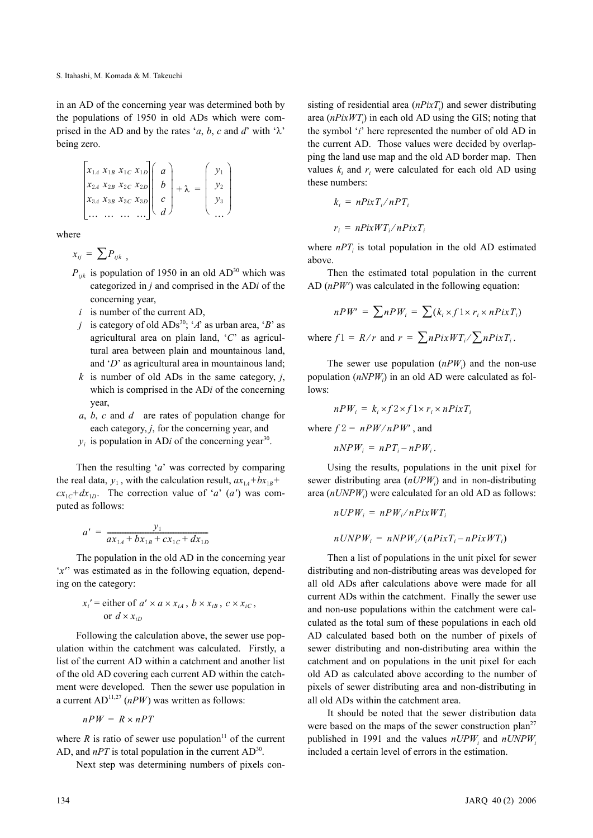in an AD of the concerning year was determined both by the populations of 1950 in old ADs which were comprised in the AD and by the rates '*a*, *b*, *c* and *d*' with ' $\lambda$ ' being zero.

$$
\begin{bmatrix} x_{1A} & x_{1B} & x_{1C} & x_{1D} \ x_{2A} & x_{2B} & x_{2C} & x_{2D} \ x_{3A} & x_{3B} & x_{3C} & x_{3D} \ \cdots & \cdots & \cdots & \cdots \end{bmatrix} \begin{bmatrix} a \\ b \\ c \\ d \end{bmatrix} + \lambda = \begin{bmatrix} y_1 \\ y_2 \\ y_3 \\ \cdots \end{bmatrix}
$$

where

$$
x_{ij} = \sum P_{ijk} ,
$$

- $P_{ijk}$  is population of 1950 in an old AD<sup>30</sup> which was categorized in *j* and comprised in the AD*i* of the concerning year,
- *i* is number of the current AD,
- *j* is category of old  $ADS^{30}$ ; '*A*' as urban area, '*B*' as agricultural area on plain land, '*C*' as agricultural area between plain and mountainous land, and '*D*' as agricultural area in mountainous land;
- *k* is number of old ADs in the same category, *j*, which is comprised in the AD*i* of the concerning year,
- *a*, *b*, *c* and *d* are rates of population change for each category, *j*, for the concerning year, and
- $y_i$  is population in AD*i* of the concerning year<sup>30</sup>.

Then the resulting '*a*' was corrected by comparing the real data,  $y_1$ , with the calculation result,  $ax_{1A} + bx_{1B} + bx_{2B}$  $cx_{1}c^{+}dx_{1}$ . The correction value of '*a*' (*a'*) was computed as follows:

$$
a' = \frac{y_1}{ax_{1A} + bx_{1B} + cx_{1C} + dx_{1D}}
$$

The population in the old AD in the concerning year '*x'*' was estimated as in the following equation, depending on the category:

$$
x_i' = \text{either of } a' \times a \times x_{iA}, \ b \times x_{iB}, \ c \times x_{iC},
$$
  
or 
$$
d \times x_{iD}
$$

Following the calculation above, the sewer use population within the catchment was calculated. Firstly, a list of the current AD within a catchment and another list of the old AD covering each current AD within the catchment were developed. Then the sewer use population in a current  $AD^{11,27}$  ( $nPW$ ) was written as follows:

$$
nPW = R \times nPT
$$

where  $R$  is ratio of sewer use population<sup>11</sup> of the current AD, and  $nPT$  is total population in the current  $AD^{30}$ .

Next step was determining numbers of pixels con-

sisting of residential area  $(nPixT<sub>i</sub>)$  and sewer distributing area (*nPixWT<sub>i</sub>*) in each old AD using the GIS; noting that the symbol '*i*' here represented the number of old AD in the current AD. Those values were decided by overlapping the land use map and the old AD border map. Then values  $k_i$  and  $r_i$  were calculated for each old AD using these numbers:

$$
k_i = nPixT_i/nPT_i
$$

$$
r_i = nPixWT_i/nPixT_i
$$

where  $nPT<sub>i</sub>$  is total population in the old AD estimated above.

Then the estimated total population in the current AD (*nPW'*) was calculated in the following equation:

$$
nPW' = \sum nPW_i = \sum (k_i \times f \mathop{\perp} \times r_i \times nPixT_i)
$$

where  $f1 = R/r$  and  $r = \sum nPixWT_i / \sum nPixT_i$ .

The sewer use population  $(nPW_i)$  and the non-use population (*nNPW<sub>i</sub>*) in an old AD were calculated as follows:

$$
nPW_i = k_i \times f2 \times f1 \times r_i \times nPixT_i
$$

where  $f2 = nPW/nPW'$ , and

$$
nNPW_i = nPT_i - nPW_i.
$$

Using the results, populations in the unit pixel for sewer distributing area (*nUPW<sub>i</sub>*) and in non-distributing area (*nUNPWi* ) were calculated for an old AD as follows:

$$
nUPW_i = nPW_i/nPixWT_i
$$

$$
n \text{UNPW}_i = n \text{NPW}_i / (n \text{Pix} T_i - n \text{Pix} \text{WT}_i)
$$

Then a list of populations in the unit pixel for sewer distributing and non-distributing areas was developed for all old ADs after calculations above were made for all current ADs within the catchment. Finally the sewer use and non-use populations within the catchment were calculated as the total sum of these populations in each old AD calculated based both on the number of pixels of sewer distributing and non-distributing area within the catchment and on populations in the unit pixel for each old AD as calculated above according to the number of pixels of sewer distributing area and non-distributing in all old ADs within the catchment area.

It should be noted that the sewer distribution data were based on the maps of the sewer construction plan<sup>27</sup> published in 1991 and the values  $nUPW_i$  and  $nUNPW_i$ included a certain level of errors in the estimation.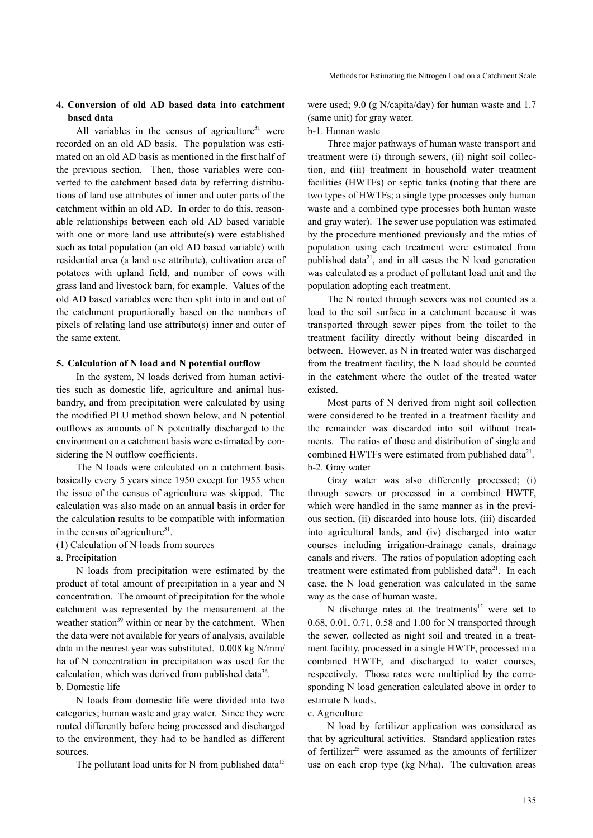## **4. Conversion of old AD based data into catchment based data**

All variables in the census of agriculture $31$  were recorded on an old AD basis. The population was estimated on an old AD basis as mentioned in the first half of the previous section. Then, those variables were converted to the catchment based data by referring distributions of land use attributes of inner and outer parts of the catchment within an old AD. In order to do this, reasonable relationships between each old AD based variable with one or more land use attribute(s) were established such as total population (an old AD based variable) with residential area (a land use attribute), cultivation area of potatoes with upland field, and number of cows with grass land and livestock barn, for example. Values of the old AD based variables were then split into in and out of the catchment proportionally based on the numbers of pixels of relating land use attribute(s) inner and outer of the same extent.

#### **5. Calculation of N load and N potential outflow**

In the system, N loads derived from human activities such as domestic life, agriculture and animal husbandry, and from precipitation were calculated by using the modified PLU method shown below, and N potential outflows as amounts of N potentially discharged to the environment on a catchment basis were estimated by considering the N outflow coefficients.

The N loads were calculated on a catchment basis basically every 5 years since 1950 except for 1955 when the issue of the census of agriculture was skipped. The calculation was also made on an annual basis in order for the calculation results to be compatible with information in the census of agriculture $31$ .

(1) Calculation of N loads from sources

a. Precipitation

N loads from precipitation were estimated by the product of total amount of precipitation in a year and N concentration. The amount of precipitation for the whole catchment was represented by the measurement at the weather station<sup>39</sup> within or near by the catchment. When the data were not available for years of analysis, available data in the nearest year was substituted. 0.008 kg N/mm/ ha of N concentration in precipitation was used for the calculation, which was derived from published data $36$ . b. Domestic life

N loads from domestic life were divided into two categories; human waste and gray water. Since they were routed differently before being processed and discharged to the environment, they had to be handled as different sources.

The pollutant load units for N from published data<sup>15</sup>

were used; 9.0 (g N/capita/day) for human waste and 1.7 (same unit) for gray water.

#### b-1. Human waste

Three major pathways of human waste transport and treatment were (i) through sewers, (ii) night soil collection, and (iii) treatment in household water treatment facilities (HWTFs) or septic tanks (noting that there are two types of HWTFs; a single type processes only human waste and a combined type processes both human waste and gray water). The sewer use population was estimated by the procedure mentioned previously and the ratios of population using each treatment were estimated from published data $2<sup>1</sup>$ , and in all cases the N load generation was calculated as a product of pollutant load unit and the population adopting each treatment.

The N routed through sewers was not counted as a load to the soil surface in a catchment because it was transported through sewer pipes from the toilet to the treatment facility directly without being discarded in between. However, as N in treated water was discharged from the treatment facility, the N load should be counted in the catchment where the outlet of the treated water existed.

Most parts of N derived from night soil collection were considered to be treated in a treatment facility and the remainder was discarded into soil without treatments. The ratios of those and distribution of single and combined HWTFs were estimated from published data<sup>21</sup>. b-2. Gray water

Gray water was also differently processed; (i) through sewers or processed in a combined HWTF, which were handled in the same manner as in the previous section, (ii) discarded into house lots, (iii) discarded into agricultural lands, and (iv) discharged into water courses including irrigation-drainage canals, drainage canals and rivers. The ratios of population adopting each treatment were estimated from published data $2^1$ . In each case, the N load generation was calculated in the same way as the case of human waste.

N discharge rates at the treatments<sup>15</sup> were set to 0.68, 0.01, 0.71, 0.58 and 1.00 for N transported through the sewer, collected as night soil and treated in a treatment facility, processed in a single HWTF, processed in a combined HWTF, and discharged to water courses, respectively. Those rates were multiplied by the corresponding N load generation calculated above in order to estimate N loads.

## c. Agriculture

N load by fertilizer application was considered as that by agricultural activities. Standard application rates of fertilizer<sup>25</sup> were assumed as the amounts of fertilizer use on each crop type (kg N/ha). The cultivation areas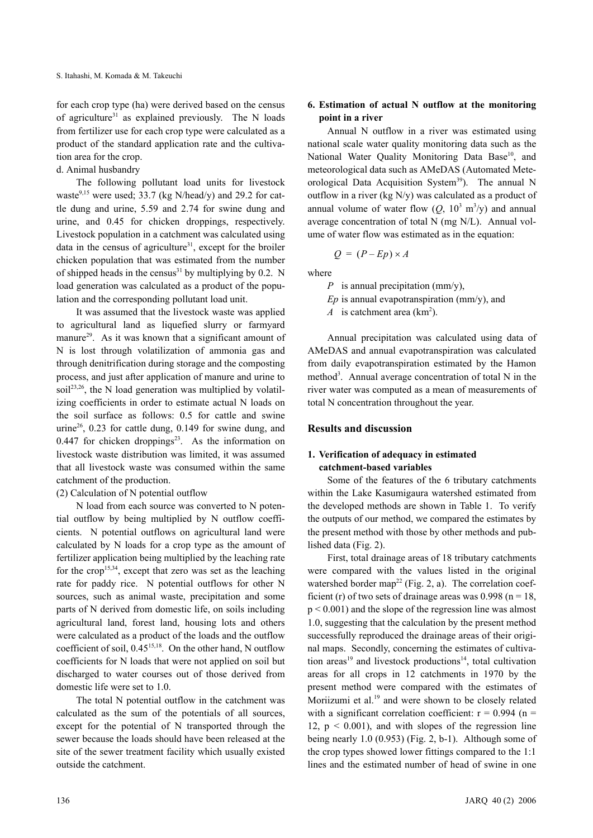for each crop type (ha) were derived based on the census of agriculture<sup>31</sup> as explained previously. The N loads from fertilizer use for each crop type were calculated as a product of the standard application rate and the cultivation area for the crop.

d. Animal husbandry

The following pollutant load units for livestock waste $9,15$  were used; 33.7 (kg N/head/y) and 29.2 for cattle dung and urine, 5.59 and 2.74 for swine dung and urine, and 0.45 for chicken droppings, respectively. Livestock population in a catchment was calculated using data in the census of agriculture<sup>31</sup>, except for the broiler chicken population that was estimated from the number of shipped heads in the census<sup>31</sup> by multiplying by 0.2. N load generation was calculated as a product of the population and the corresponding pollutant load unit.

It was assumed that the livestock waste was applied to agricultural land as liquefied slurry or farmyard manure<sup>29</sup>. As it was known that a significant amount of N is lost through volatilization of ammonia gas and through denitrification during storage and the composting process, and just after application of manure and urine to soil<sup>23,26</sup>, the N load generation was multiplied by volatilizing coefficients in order to estimate actual N loads on the soil surface as follows: 0.5 for cattle and swine urine<sup>26</sup>, 0.23 for cattle dung, 0.149 for swine dung, and 0.447 for chicken droppings<sup>23</sup>. As the information on livestock waste distribution was limited, it was assumed that all livestock waste was consumed within the same catchment of the production.

## (2) Calculation of N potential outflow

N load from each source was converted to N potential outflow by being multiplied by N outflow coefficients. N potential outflows on agricultural land were calculated by N loads for a crop type as the amount of fertilizer application being multiplied by the leaching rate for the crop<sup>15,34</sup>, except that zero was set as the leaching rate for paddy rice. N potential outflows for other N sources, such as animal waste, precipitation and some parts of N derived from domestic life, on soils including agricultural land, forest land, housing lots and others were calculated as a product of the loads and the outflow coefficient of soil,  $0.45^{15,18}$ . On the other hand, N outflow coefficients for N loads that were not applied on soil but discharged to water courses out of those derived from domestic life were set to 1.0.

The total N potential outflow in the catchment was calculated as the sum of the potentials of all sources, except for the potential of N transported through the sewer because the loads should have been released at the site of the sewer treatment facility which usually existed outside the catchment.

## **6. Estimation of actual N outflow at the monitoring point in a river**

Annual N outflow in a river was estimated using national scale water quality monitoring data such as the National Water Quality Monitoring Data Base<sup>10</sup>, and meteorological data such as AMeDAS (Automated Meteorological Data Acquisition System<sup>39</sup>). The annual N outflow in a river (kg N/y) was calculated as a product of annual volume of water flow  $(Q, 10^3 \text{ m}^3/\text{y})$  and annual average concentration of total N (mg N/L). Annual volume of water flow was estimated as in the equation:

$$
Q = (P - Ep) \times A
$$

where

*P* is annual precipitation (mm/y), *Ep* is annual evapotranspiration (mm/y), and

*A* is catchment area  $(km^2)$ .

Annual precipitation was calculated using data of AMeDAS and annual evapotranspiration was calculated from daily evapotranspiration estimated by the Hamon method<sup>3</sup>. Annual average concentration of total N in the river water was computed as a mean of measurements of total N concentration throughout the year.

## **Results and discussion**

## **1. Verification of adequacy in estimated catchment-based variables**

Some of the features of the 6 tributary catchments within the Lake Kasumigaura watershed estimated from the developed methods are shown in Table 1. To verify the outputs of our method, we compared the estimates by the present method with those by other methods and published data (Fig. 2).

First, total drainage areas of 18 tributary catchments were compared with the values listed in the original watershed border map<sup>22</sup> (Fig. 2, a). The correlation coefficient (r) of two sets of drainage areas was  $0.998$  (n = 18,  $p < 0.001$ ) and the slope of the regression line was almost 1.0, suggesting that the calculation by the present method successfully reproduced the drainage areas of their original maps. Secondly, concerning the estimates of cultivation areas<sup>19</sup> and livestock productions<sup>14</sup>, total cultivation areas for all crops in 12 catchments in 1970 by the present method were compared with the estimates of Moriizumi et al.<sup>19</sup> and were shown to be closely related with a significant correlation coefficient:  $r = 0.994$  (n = 12,  $p \le 0.001$ ), and with slopes of the regression line being nearly 1.0  $(0.953)$  (Fig. 2, b-1). Although some of the crop types showed lower fittings compared to the 1:1 lines and the estimated number of head of swine in one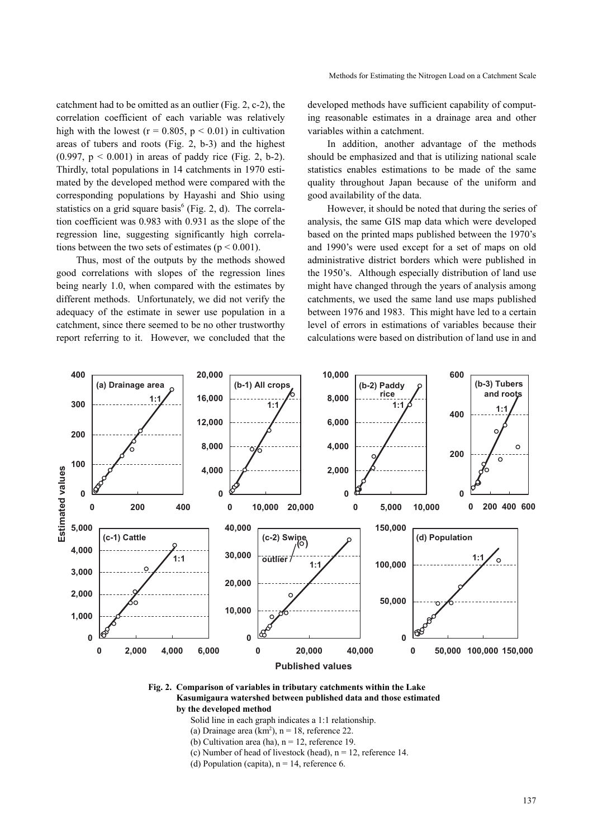catchment had to be omitted as an outlier (Fig. 2, c-2), the correlation coefficient of each variable was relatively high with the lowest ( $r = 0.805$ ,  $p < 0.01$ ) in cultivation areas of tubers and roots (Fig. 2, b-3) and the highest (0.997,  $p < 0.001$ ) in areas of paddy rice (Fig. 2, b-2). Thirdly, total populations in 14 catchments in 1970 estimated by the developed method were compared with the corresponding populations by Hayashi and Shio using statistics on a grid square basis<sup>6</sup> (Fig. 2, d). The correlation coefficient was 0.983 with 0.931 as the slope of the regression line, suggesting significantly high correlations between the two sets of estimates ( $p < 0.001$ ).

Thus, most of the outputs by the methods showed good correlations with slopes of the regression lines being nearly 1.0, when compared with the estimates by different methods. Unfortunately, we did not verify the adequacy of the estimate in sewer use population in a catchment, since there seemed to be no other trustworthy report referring to it. However, we concluded that the developed methods have sufficient capability of computing reasonable estimates in a drainage area and other variables within a catchment.

In addition, another advantage of the methods should be emphasized and that is utilizing national scale statistics enables estimations to be made of the same quality throughout Japan because of the uniform and good availability of the data.

However, it should be noted that during the series of analysis, the same GIS map data which were developed based on the printed maps published between the 1970's and 1990's were used except for a set of maps on old administrative district borders which were published in the 1950's. Although especially distribution of land use might have changed through the years of analysis among catchments, we used the same land use maps published between 1976 and 1983. This might have led to a certain level of errors in estimations of variables because their calculations were based on distribution of land use in and



#### **Fig. 2. Comparison of variables in tributary catchments within the Lake Kasumigaura watershed between published data and those estimated by the developed method**

Solid line in each graph indicates a 1:1 relationship.

- (a) Drainage area  $(km^2)$ , n = 18, reference 22.
- (b) Cultivation area (ha),  $n = 12$ , reference 19.
- (c) Number of head of livestock (head),  $n = 12$ , reference 14.
- (d) Population (capita),  $n = 14$ , reference 6.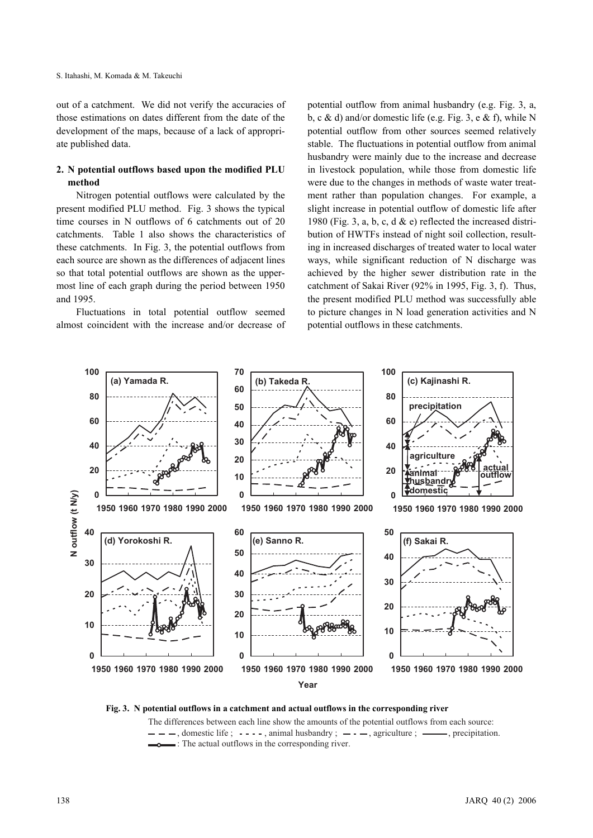out of a catchment. We did not verify the accuracies of those estimations on dates different from the date of the development of the maps, because of a lack of appropriate published data.

## **2. N potential outflows based upon the modified PLU method**

Nitrogen potential outflows were calculated by the present modified PLU method. Fig. 3 shows the typical time courses in N outflows of 6 catchments out of 20 catchments. Table 1 also shows the characteristics of these catchments. In Fig. 3, the potential outflows from each source are shown as the differences of adjacent lines so that total potential outflows are shown as the uppermost line of each graph during the period between 1950 and 1995.

Fluctuations in total potential outflow seemed almost coincident with the increase and/or decrease of potential outflow from animal husbandry (e.g. Fig. 3, a, b, c & d) and/or domestic life (e.g. Fig. 3, e & f), while N potential outflow from other sources seemed relatively stable. The fluctuations in potential outflow from animal husbandry were mainly due to the increase and decrease in livestock population, while those from domestic life were due to the changes in methods of waste water treatment rather than population changes. For example, a slight increase in potential outflow of domestic life after 1980 (Fig. 3, a, b, c, d  $\&$  e) reflected the increased distribution of HWTFs instead of night soil collection, resulting in increased discharges of treated water to local water ways, while significant reduction of N discharge was achieved by the higher sewer distribution rate in the catchment of Sakai River (92% in 1995, Fig. 3, f). Thus, the present modified PLU method was successfully able to picture changes in N load generation activities and N potential outflows in these catchments.



**Fig. 3. N potential outflows in a catchment and actual outflows in the corresponding river**

The differences between each line show the amounts of the potential outflows from each source:  $-$  - , domestic life ;  $-$  -  $-$  , animal husbandry ;  $-$  -  $-$ , agriculture ;  $-$ , precipitation.<br>  $-$  : The actual outflows in the corresponding river. **otential outflows in a catchment and actual outflows i**<br>The differences between each line show the amounts of  $-$  - - -, domestic life ;  $-$  - - -, animal husbandry ;  $-$ <br> $-$  : The actual outflows in the corresponding ri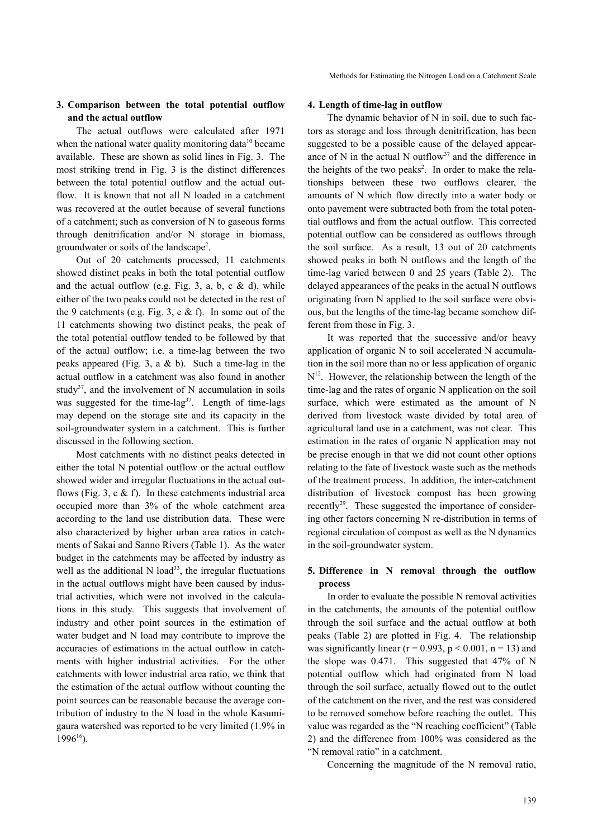### **3. Comparison between the total potential outflow and the actual outflow**

The actual outflows were calculated after 1971 when the national water quality monitoring data<sup>10</sup> became available. These are shown as solid lines in Fig. 3. The most striking trend in Fig. 3 is the distinct differences between the total potential outflow and the actual outflow. It is known that not all N loaded in a catchment was recovered at the outlet because of several functions of a catchment; such as conversion of N to gaseous forms through denitrification and/or N storage in biomass, groundwater or soils of the landscape<sup>2</sup>.

Out of 20 catchments processed, 11 catchments showed distinct peaks in both the total potential outflow and the actual outflow (e.g. Fig. 3, a, b, c  $\&$  d), while either of the two peaks could not be detected in the rest of the 9 catchments (e.g. Fig. 3, e & f). In some out of the 11 catchments showing two distinct peaks, the peak of the total potential outflow tended to be followed by that of the actual outflow; i.e. a time-lag between the two peaks appeared (Fig. 3, a  $&$  b). Such a time-lag in the actual outflow in a catchment was also found in another study<sup>37</sup>, and the involvement of N accumulation in soils was suggested for the time-lag<sup>37</sup>. Length of time-lags may depend on the storage site and its capacity in the soil-groundwater system in a catchment. This is further discussed in the following section.

Most catchments with no distinct peaks detected in either the total N potential outflow or the actual outflow showed wider and irregular fluctuations in the actual outflows (Fig. 3, e  $\&$  f). In these catchments industrial area occupied more than 3% of the whole catchment area according to the land use distribution data. These were also characterized by higher urban area ratios in catchments of Sakai and Sanno Rivers (Table 1). As the water budget in the catchments may be affected by industry as well as the additional N load<sup>33</sup>, the irregular fluctuations in the actual outflows might have been caused by industrial activities, which were not involved in the calculations in this study. This suggests that involvement of industry and other point sources in the estimation of water budget and N load may contribute to improve the accuracies of estimations in the actual outflow in catchments with higher industrial activities. For the other catchments with lower industrial area ratio, we think that the estimation of the actual outflow without counting the point sources can be reasonable because the average contribution of industry to the N load in the whole Kasumigaura watershed was reported to be very limited (1.9% in 199616).

#### **4. Length of time-lag in outflow**

The dynamic behavior of N in soil, due to such factors as storage and loss through denitrification, has been suggested to be a possible cause of the delayed appearance of N in the actual N outflow<sup>37</sup> and the difference in the heights of the two peaks<sup>2</sup>. In order to make the relationships between these two outflows clearer, the amounts of N which flow directly into a water body or onto pavement were subtracted both from the total potential outflows and from the actual outflow. This corrected potential outflow can be considered as outflows through the soil surface. As a result, 13 out of 20 catchments showed peaks in both N outflows and the length of the time-lag varied between 0 and 25 years (Table 2). The delayed appearances of the peaks in the actual N outflows originating from N applied to the soil surface were obvious, but the lengths of the time-lag became somehow different from those in Fig. 3.

It was reported that the successive and/or heavy application of organic N to soil accelerated N accumulation in the soil more than no or less application of organic  $N^{12}$ . However, the relationship between the length of the time-lag and the rates of organic N application on the soil surface, which were estimated as the amount of N derived from livestock waste divided by total area of agricultural land use in a catchment, was not clear. This estimation in the rates of organic N application may not be precise enough in that we did not count other options relating to the fate of livestock waste such as the methods of the treatment process. In addition, the inter-catchment distribution of livestock compost has been growing recently<sup>29</sup>. These suggested the importance of considering other factors concerning N re-distribution in terms of regional circulation of compost as well as the N dynamics in the soil-groundwater system.

# **5. Difference in N removal through the outflow process**

In order to evaluate the possible N removal activities in the catchments, the amounts of the potential outflow through the soil surface and the actual outflow at both peaks (Table 2) are plotted in Fig. 4. The relationship was significantly linear ( $r = 0.993$ ,  $p \le 0.001$ ,  $n = 13$ ) and the slope was 0.471. This suggested that 47% of N potential outflow which had originated from N load through the soil surface, actually flowed out to the outlet of the catchment on the river, and the rest was considered to be removed somehow before reaching the outlet. This value was regarded as the "N reaching coefficient" (Table 2) and the difference from 100% was considered as the "N removal ratio" in a catchment.

Concerning the magnitude of the N removal ratio,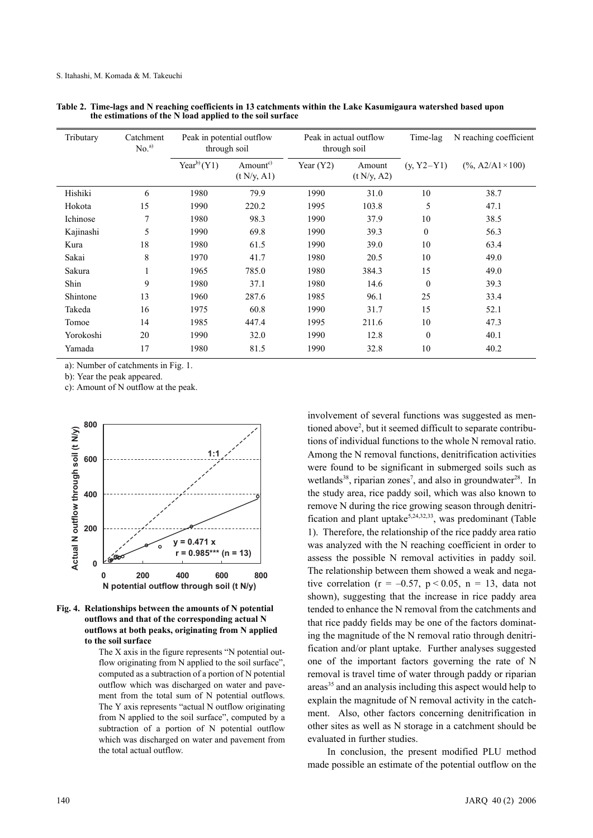| Tributary | Catchment<br>No. <sup>a</sup> |                 | Peak in potential outflow<br>through soil |             | Peak in actual outflow<br>through soil |              | N reaching coefficient      |
|-----------|-------------------------------|-----------------|-------------------------------------------|-------------|----------------------------------------|--------------|-----------------------------|
|           |                               | $Year^{b)}(Y1)$ | Amount <sup>c)</sup><br>(t N/y, A1)       | Year $(Y2)$ | Amount<br>(t N/y, A2)                  | $(y, Y2-Y1)$ | $(\%$ , A2/A1 $\times$ 100) |
| Hishiki   | 6                             | 1980            | 79.9                                      | 1990        | 31.0                                   | 10           | 38.7                        |
| Hokota    | 15                            | 1990            | 220.2                                     | 1995        | 103.8                                  | 5            | 47.1                        |
| Ichinose  | 7                             | 1980            | 98.3                                      | 1990        | 37.9                                   | 10           | 38.5                        |
| Kajinashi | 5                             | 1990            | 69.8                                      | 1990        | 39.3                                   | $\mathbf{0}$ | 56.3                        |
| Kura      | 18                            | 1980            | 61.5                                      | 1990        | 39.0                                   | 10           | 63.4                        |
| Sakai     | 8                             | 1970            | 41.7                                      | 1980        | 20.5                                   | 10           | 49.0                        |
| Sakura    | 1                             | 1965            | 785.0                                     | 1980        | 384.3                                  | 15           | 49.0                        |
| Shin      | 9                             | 1980            | 37.1                                      | 1980        | 14.6                                   | $\theta$     | 39.3                        |
| Shintone  | 13                            | 1960            | 287.6                                     | 1985        | 96.1                                   | 25           | 33.4                        |
| Takeda    | 16                            | 1975            | 60.8                                      | 1990        | 31.7                                   | 15           | 52.1                        |
| Tomoe     | 14                            | 1985            | 447.4                                     | 1995        | 211.6                                  | 10           | 47.3                        |
| Yorokoshi | 20                            | 1990            | 32.0                                      | 1990        | 12.8                                   | $\theta$     | 40.1                        |
| Yamada    | 17                            | 1980            | 81.5                                      | 1990        | 32.8                                   | 10           | 40.2                        |

**Table 2. Time-lags and N reaching coefficients in 13 catchments within the Lake Kasumigaura watershed based upon the estimations of the N load applied to the soil surface**

a): Number of catchments in Fig. 1.

b): Year the peak appeared.

c): Amount of N outflow at the peak.





The X axis in the figure represents "N potential outflow originating from N applied to the soil surface", computed as a subtraction of a portion of N potential outflow which was discharged on water and pavement from the total sum of N potential outflows. The Y axis represents "actual N outflow originating from N applied to the soil surface", computed by a subtraction of a portion of N potential outflow which was discharged on water and pavement from the total actual outflow.

involvement of several functions was suggested as mentioned above<sup>2</sup>, but it seemed difficult to separate contributions of individual functions to the whole N removal ratio. Among the N removal functions, denitrification activities were found to be significant in submerged soils such as wetlands<sup>38</sup>, riparian zones<sup>7</sup>, and also in groundwater<sup>28</sup>. In the study area, rice paddy soil, which was also known to remove N during the rice growing season through denitrification and plant uptake<sup>5,24,32,33</sup>, was predominant (Table 1). Therefore, the relationship of the rice paddy area ratio was analyzed with the N reaching coefficient in order to assess the possible N removal activities in paddy soil. The relationship between them showed a weak and negative correlation ( $r = -0.57$ ,  $p < 0.05$ ,  $n = 13$ , data not shown), suggesting that the increase in rice paddy area tended to enhance the N removal from the catchments and that rice paddy fields may be one of the factors dominating the magnitude of the N removal ratio through denitrification and/or plant uptake. Further analyses suggested one of the important factors governing the rate of N removal is travel time of water through paddy or riparian areas<sup>35</sup> and an analysis including this aspect would help to explain the magnitude of N removal activity in the catchment. Also, other factors concerning denitrification in other sites as well as N storage in a catchment should be evaluated in further studies.

In conclusion, the present modified PLU method made possible an estimate of the potential outflow on the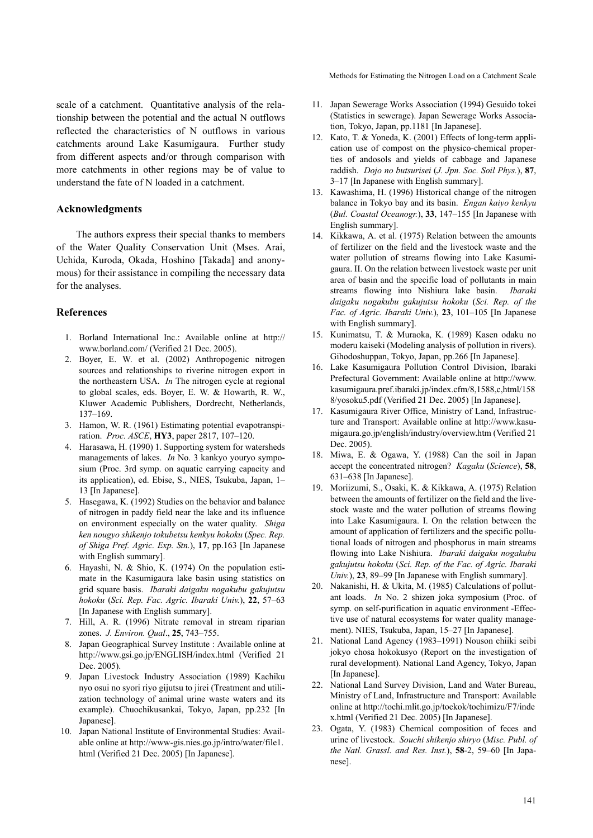scale of a catchment. Quantitative analysis of the relationship between the potential and the actual N outflows reflected the characteristics of N outflows in various catchments around Lake Kasumigaura. Further study from different aspects and/or through comparison with more catchments in other regions may be of value to understand the fate of N loaded in a catchment.

#### **Acknowledgments**

The authors express their special thanks to members of the Water Quality Conservation Unit (Mses. Arai, Uchida, Kuroda, Okada, Hoshino [Takada] and anonymous) for their assistance in compiling the necessary data for the analyses.

#### **References**

- 1. Borland International Inc.: Available online at http:// www.borland.com/ (Verified 21 Dec. 2005).
- 2. Boyer, E. W. et al. (2002) Anthropogenic nitrogen sources and relationships to riverine nitrogen export in the northeastern USA. *In* The nitrogen cycle at regional to global scales, eds. Boyer, E. W. & Howarth, R. W., Kluwer Academic Publishers, Dordrecht, Netherlands, 137–169.
- 3. Hamon, W. R. (1961) Estimating potential evapotranspiration. *Proc. ASCE*, **HY3**, paper 2817, 107–120.
- 4. Harasawa, H. (1990) 1. Supporting system for watersheds managements of lakes. *In* No. 3 kankyo youryo symposium (Proc. 3rd symp. on aquatic carrying capacity and its application), ed. Ebise, S., NIES, Tsukuba, Japan, 1– 13 [In Japanese].
- 5. Hasegawa, K. (1992) Studies on the behavior and balance of nitrogen in paddy field near the lake and its influence on environment especially on the water quality. *Shiga ken nougyo shikenjo tokubetsu kenkyu hokoku* (*Spec. Rep. of Shiga Pref. Agric. Exp. Stn.*), **17**, pp.163 [In Japanese with English summary].
- 6. Hayashi, N. & Shio, K. (1974) On the population estimate in the Kasumigaura lake basin using statistics on grid square basis. *Ibaraki daigaku nogakubu gakujutsu hokoku* (*Sci. Rep. Fac. Agric. Ibaraki Univ.*), **22**, 57–63 [In Japanese with English summary].
- 7. Hill, A. R. (1996) Nitrate removal in stream riparian zones. *J. Environ. Qual*., **25**, 743–755.
- 8. Japan Geographical Survey Institute : Available online at http://www.gsi.go.jp/ENGLISH/index.html (Verified 21 Dec. 2005).
- 9. Japan Livestock Industry Association (1989) Kachiku nyo osui no syori riyo gijutsu to jirei (Treatment and utilization technology of animal urine waste waters and its example). Chuochikusankai, Tokyo, Japan, pp.232 [In Japanese].
- 10. Japan National Institute of Environmental Studies: Available online at http://www-gis.nies.go.jp/intro/water/file1. html (Verified 21 Dec. 2005) [In Japanese].

Methods for Estimating the Nitrogen Load on a Catchment Scale

- 11. Japan Sewerage Works Association (1994) Gesuido tokei (Statistics in sewerage). Japan Sewerage Works Association, Tokyo, Japan, pp.1181 [In Japanese].
- 12. Kato, T. & Yoneda, K. (2001) Effects of long-term application use of compost on the physico-chemical properties of andosols and yields of cabbage and Japanese raddish. *Dojo no butsurisei* (*J. Jpn. Soc. Soil Phys.*), **87**, 3–17 [In Japanese with English summary].
- 13. Kawashima, H. (1996) Historical change of the nitrogen balance in Tokyo bay and its basin. *Engan kaiyo kenkyu* (*Bul. Coastal Oceanogr.*), **33**, 147–155 [In Japanese with English summary].
- 14. Kikkawa, A. et al. (1975) Relation between the amounts of fertilizer on the field and the livestock waste and the water pollution of streams flowing into Lake Kasumigaura. II. On the relation between livestock waste per unit area of basin and the specific load of pollutants in main streams flowing into Nishiura lake basin. *Ibaraki daigaku nogakubu gakujutsu hokoku* (*Sci. Rep. of the Fac. of Agric. Ibaraki Univ.*), **23**, 101–105 [In Japanese with English summary].
- 15. Kunimatsu, T. & Muraoka, K. (1989) Kasen odaku no moderu kaiseki (Modeling analysis of pollution in rivers). Gihodoshuppan, Tokyo, Japan, pp.266 [In Japanese].
- 16. Lake Kasumigaura Pollution Control Division, Ibaraki Prefectural Government: Available online at http://www. kasumigaura.pref.ibaraki.jp/index.cfm/8,1588,c,html/158 8/yosoku5.pdf (Verified 21 Dec. 2005) [In Japanese].
- 17. Kasumigaura River Office, Ministry of Land, Infrastructure and Transport: Available online at http://www.kasumigaura.go.jp/english/industry/overview.htm (Verified 21 Dec. 2005).
- 18. Miwa, E. & Ogawa, Y. (1988) Can the soil in Japan accept the concentrated nitrogen? *Kagaku* (*Science*), **58**, 631–638 [In Japanese].
- 19. Moriizumi, S., Osaki, K. & Kikkawa, A. (1975) Relation between the amounts of fertilizer on the field and the livestock waste and the water pollution of streams flowing into Lake Kasumigaura. I. On the relation between the amount of application of fertilizers and the specific pollutional loads of nitrogen and phosphorus in main streams flowing into Lake Nishiura. *Ibaraki daigaku nogakubu gakujutsu hokoku* (*Sci. Rep. of the Fac. of Agric. Ibaraki Univ.*), **23**, 89–99 [In Japanese with English summary].
- 20. Nakanishi, H. & Ukita, M. (1985) Calculations of pollutant loads. *In* No. 2 shizen joka symposium (Proc. of symp. on self-purification in aquatic environment -Effective use of natural ecosystems for water quality management). NIES, Tsukuba, Japan, 15–27 [In Japanese].
- 21. National Land Agency (1983–1991) Nouson chiiki seibi jokyo chosa hokokusyo (Report on the investigation of rural development). National Land Agency, Tokyo, Japan [In Japanese].
- 22. National Land Survey Division, Land and Water Bureau, Ministry of Land, Infrastructure and Transport: Available online at http://tochi.mlit.go.jp/tockok/tochimizu/F7/inde x.html (Verified 21 Dec. 2005) [In Japanese].
- 23. Ogata, Y. (1983) Chemical composition of feces and urine of livestock. *Souchi shikenjo shiryo* (*Misc. Publ. of the Natl. Grassl. and Res. Inst.*), **58**-2, 59–60 [In Japanese].